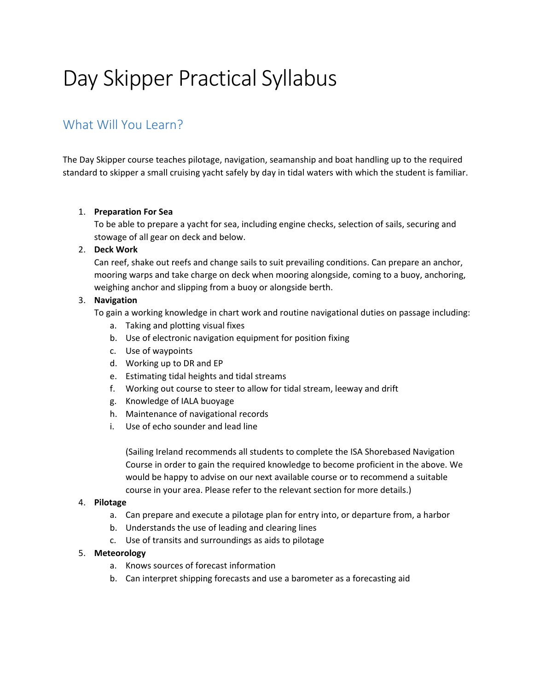# Day Skipper Practical Syllabus

# What Will You Learn?

The Day Skipper course teaches pilotage, navigation, seamanship and boat handling up to the required standard to skipper a small cruising yacht safely by day in tidal waters with which the student is familiar.

# 1. **Preparation For Sea**

To be able to prepare a yacht for sea, including engine checks, selection of sails, securing and stowage of all gear on deck and below.

# 2. **Deck Work**

Can reef, shake out reefs and change sails to suit prevailing conditions. Can prepare an anchor, mooring warps and take charge on deck when mooring alongside, coming to a buoy, anchoring, weighing anchor and slipping from a buoy or alongside berth.

# 3. **Navigation**

To gain a working knowledge in chart work and routine navigational duties on passage including:

- a. Taking and plotting visual fixes
- b. Use of electronic navigation equipment for position fixing
- c. Use of waypoints
- d. Working up to DR and EP
- e. Estimating tidal heights and tidal streams
- f. Working out course to steer to allow for tidal stream, leeway and drift
- g. Knowledge of IALA buoyage
- h. Maintenance of navigational records
- i. Use of echo sounder and lead line

(Sailing Ireland recommends all students to complete the ISA Shorebased Navigation Course in order to gain the required knowledge to become proficient in the above. We would be happy to advise on our next available course or to recommend a suitable course in your area. Please refer to the relevant section for more details.)

#### 4. **Pilotage**

- a. Can prepare and execute a pilotage plan for entry into, or departure from, a harbor
- b. Understands the use of leading and clearing lines
- c. Use of transits and surroundings as aids to pilotage

#### 5. **Meteorology**

- a. Knows sources of forecast information
- b. Can interpret shipping forecasts and use a barometer as a forecasting aid